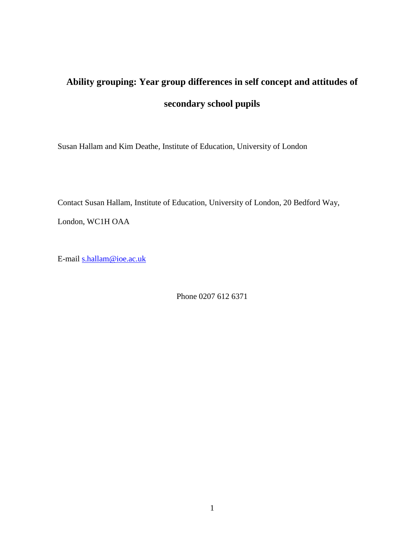# **Ability grouping: Year group differences in self concept and attitudes of secondary school pupils**

Susan Hallam and Kim Deathe, Institute of Education, University of London

Contact Susan Hallam, Institute of Education, University of London, 20 Bedford Way, London, WC1H OAA

E-mail [s.hallam@ioe.ac.uk](mailto:s.hallam@ioe.ac.uk)

Phone 0207 612 6371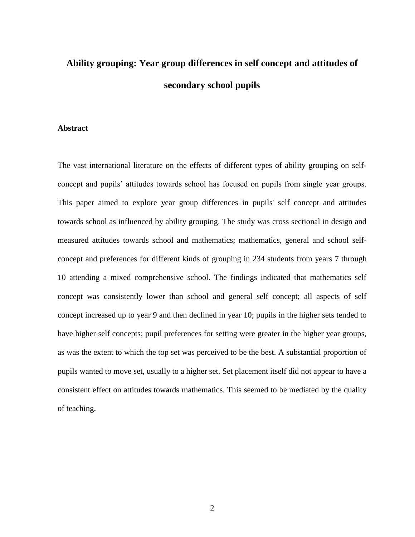## **Ability grouping: Year group differences in self concept and attitudes of secondary school pupils**

#### **Abstract**

The vast international literature on the effects of different types of ability grouping on selfconcept and pupils' attitudes towards school has focused on pupils from single year groups. This paper aimed to explore year group differences in pupils' self concept and attitudes towards school as influenced by ability grouping. The study was cross sectional in design and measured attitudes towards school and mathematics; mathematics, general and school selfconcept and preferences for different kinds of grouping in 234 students from years 7 through 10 attending a mixed comprehensive school. The findings indicated that mathematics self concept was consistently lower than school and general self concept; all aspects of self concept increased up to year 9 and then declined in year 10; pupils in the higher sets tended to have higher self concepts; pupil preferences for setting were greater in the higher year groups, as was the extent to which the top set was perceived to be the best. A substantial proportion of pupils wanted to move set, usually to a higher set. Set placement itself did not appear to have a consistent effect on attitudes towards mathematics. This seemed to be mediated by the quality of teaching.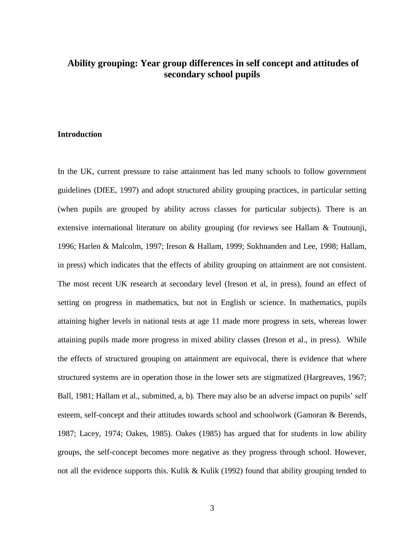### **Ability grouping: Year group differences in self concept and attitudes of secondary school pupils**

#### **Introduction**

In the UK, current pressure to raise attainment has led many schools to follow government guidelines (DfEE, 1997) and adopt structured ability grouping practices, in particular setting (when pupils are grouped by ability across classes for particular subjects). There is an extensive international literature on ability grouping (for reviews see Hallam & Toutounji, 1996; Harlen & Malcolm, 1997; Ireson & Hallam, 1999; Sukhnanden and Lee, 1998; Hallam, in press) which indicates that the effects of ability grouping on attainment are not consistent. The most recent UK research at secondary level (Ireson et al, in press), found an effect of setting on progress in mathematics, but not in English or science. In mathematics, pupils attaining higher levels in national tests at age 11 made more progress in sets, whereas lower attaining pupils made more progress in mixed ability classes (Ireson et al., in press). While the effects of structured grouping on attainment are equivocal, there is evidence that where structured systems are in operation those in the lower sets are stigmatized (Hargreaves, 1967; Ball, 1981; Hallam et al., submitted, a, b). There may also be an adverse impact on pupils' self esteem, self-concept and their attitudes towards school and schoolwork (Gamoran & Berends, 1987; Lacey, 1974; Oakes, 1985). Oakes (1985) has argued that for students in low ability groups, the self-concept becomes more negative as they progress through school. However, not all the evidence supports this. Kulik & Kulik (1992) found that ability grouping tended to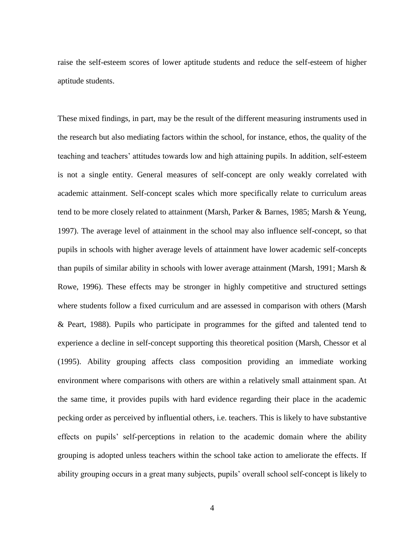raise the self-esteem scores of lower aptitude students and reduce the self-esteem of higher aptitude students.

These mixed findings, in part, may be the result of the different measuring instruments used in the research but also mediating factors within the school, for instance, ethos, the quality of the teaching and teachers' attitudes towards low and high attaining pupils. In addition, self-esteem is not a single entity. General measures of self-concept are only weakly correlated with academic attainment. Self-concept scales which more specifically relate to curriculum areas tend to be more closely related to attainment (Marsh, Parker & Barnes, 1985; Marsh & Yeung, 1997). The average level of attainment in the school may also influence self-concept, so that pupils in schools with higher average levels of attainment have lower academic self-concepts than pupils of similar ability in schools with lower average attainment (Marsh, 1991; Marsh & Rowe, 1996). These effects may be stronger in highly competitive and structured settings where students follow a fixed curriculum and are assessed in comparison with others (Marsh & Peart, 1988). Pupils who participate in programmes for the gifted and talented tend to experience a decline in self-concept supporting this theoretical position (Marsh, Chessor et al (1995). Ability grouping affects class composition providing an immediate working environment where comparisons with others are within a relatively small attainment span. At the same time, it provides pupils with hard evidence regarding their place in the academic pecking order as perceived by influential others, i.e. teachers. This is likely to have substantive effects on pupils' self-perceptions in relation to the academic domain where the ability grouping is adopted unless teachers within the school take action to ameliorate the effects. If ability grouping occurs in a great many subjects, pupils' overall school self-concept is likely to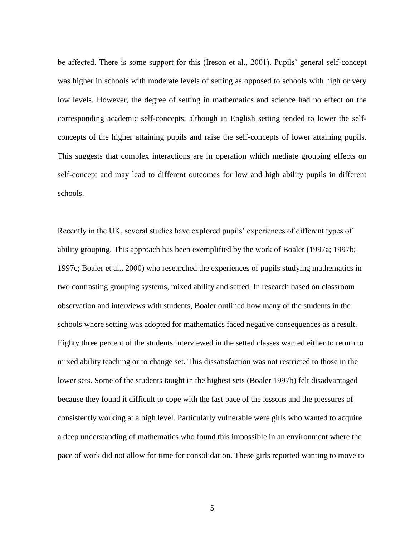be affected. There is some support for this (Ireson et al., 2001). Pupils' general self-concept was higher in schools with moderate levels of setting as opposed to schools with high or very low levels. However, the degree of setting in mathematics and science had no effect on the corresponding academic self-concepts, although in English setting tended to lower the selfconcepts of the higher attaining pupils and raise the self-concepts of lower attaining pupils. This suggests that complex interactions are in operation which mediate grouping effects on self-concept and may lead to different outcomes for low and high ability pupils in different schools.

Recently in the UK, several studies have explored pupils' experiences of different types of ability grouping. This approach has been exemplified by the work of Boaler (1997a; 1997b; 1997c; Boaler et al., 2000) who researched the experiences of pupils studying mathematics in two contrasting grouping systems, mixed ability and setted. In research based on classroom observation and interviews with students, Boaler outlined how many of the students in the schools where setting was adopted for mathematics faced negative consequences as a result. Eighty three percent of the students interviewed in the setted classes wanted either to return to mixed ability teaching or to change set. This dissatisfaction was not restricted to those in the lower sets. Some of the students taught in the highest sets (Boaler 1997b) felt disadvantaged because they found it difficult to cope with the fast pace of the lessons and the pressures of consistently working at a high level. Particularly vulnerable were girls who wanted to acquire a deep understanding of mathematics who found this impossible in an environment where the pace of work did not allow for time for consolidation. These girls reported wanting to move to

5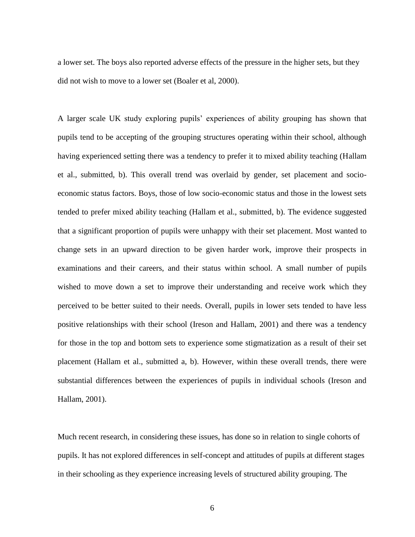a lower set. The boys also reported adverse effects of the pressure in the higher sets, but they did not wish to move to a lower set (Boaler et al, 2000).

A larger scale UK study exploring pupils' experiences of ability grouping has shown that pupils tend to be accepting of the grouping structures operating within their school, although having experienced setting there was a tendency to prefer it to mixed ability teaching (Hallam et al., submitted, b). This overall trend was overlaid by gender, set placement and socioeconomic status factors. Boys, those of low socio-economic status and those in the lowest sets tended to prefer mixed ability teaching (Hallam et al., submitted, b). The evidence suggested that a significant proportion of pupils were unhappy with their set placement. Most wanted to change sets in an upward direction to be given harder work, improve their prospects in examinations and their careers, and their status within school. A small number of pupils wished to move down a set to improve their understanding and receive work which they perceived to be better suited to their needs. Overall, pupils in lower sets tended to have less positive relationships with their school (Ireson and Hallam, 2001) and there was a tendency for those in the top and bottom sets to experience some stigmatization as a result of their set placement (Hallam et al., submitted a, b). However, within these overall trends, there were substantial differences between the experiences of pupils in individual schools (Ireson and Hallam, 2001).

Much recent research, in considering these issues, has done so in relation to single cohorts of pupils. It has not explored differences in self-concept and attitudes of pupils at different stages in their schooling as they experience increasing levels of structured ability grouping. The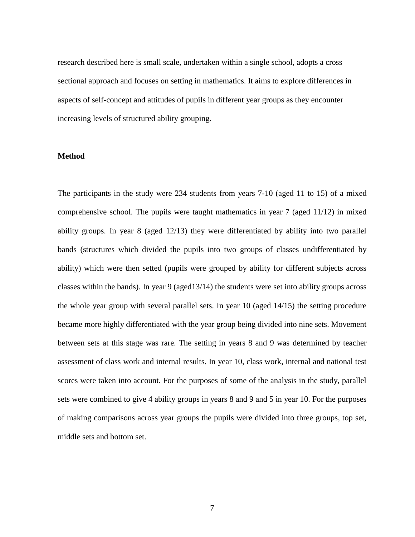research described here is small scale, undertaken within a single school, adopts a cross sectional approach and focuses on setting in mathematics. It aims to explore differences in aspects of self-concept and attitudes of pupils in different year groups as they encounter increasing levels of structured ability grouping.

#### **Method**

The participants in the study were 234 students from years 7-10 (aged 11 to 15) of a mixed comprehensive school. The pupils were taught mathematics in year 7 (aged 11/12) in mixed ability groups. In year 8 (aged 12/13) they were differentiated by ability into two parallel bands (structures which divided the pupils into two groups of classes undifferentiated by ability) which were then setted (pupils were grouped by ability for different subjects across classes within the bands). In year 9 (aged13/14) the students were set into ability groups across the whole year group with several parallel sets. In year 10 (aged 14/15) the setting procedure became more highly differentiated with the year group being divided into nine sets. Movement between sets at this stage was rare. The setting in years 8 and 9 was determined by teacher assessment of class work and internal results. In year 10, class work, internal and national test scores were taken into account. For the purposes of some of the analysis in the study, parallel sets were combined to give 4 ability groups in years 8 and 9 and 5 in year 10. For the purposes of making comparisons across year groups the pupils were divided into three groups, top set, middle sets and bottom set.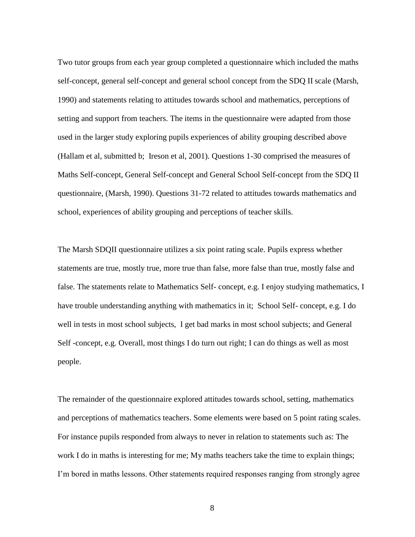Two tutor groups from each year group completed a questionnaire which included the maths self-concept, general self-concept and general school concept from the SDQ II scale (Marsh, 1990) and statements relating to attitudes towards school and mathematics, perceptions of setting and support from teachers. The items in the questionnaire were adapted from those used in the larger study exploring pupils experiences of ability grouping described above (Hallam et al, submitted b; Ireson et al, 2001). Questions 1-30 comprised the measures of Maths Self-concept, General Self-concept and General School Self-concept from the SDQ II questionnaire, (Marsh, 1990). Questions 31-72 related to attitudes towards mathematics and school, experiences of ability grouping and perceptions of teacher skills.

The Marsh SDQII questionnaire utilizes a six point rating scale. Pupils express whether statements are true, mostly true, more true than false, more false than true, mostly false and false. The statements relate to Mathematics Self- concept, e.g. I enjoy studying mathematics, I have trouble understanding anything with mathematics in it; School Self- concept, e.g. I do well in tests in most school subjects, I get bad marks in most school subjects; and General Self -concept, e.g. Overall, most things I do turn out right; I can do things as well as most people.

The remainder of the questionnaire explored attitudes towards school, setting, mathematics and perceptions of mathematics teachers. Some elements were based on 5 point rating scales. For instance pupils responded from always to never in relation to statements such as: The work I do in maths is interesting for me; My maths teachers take the time to explain things; I'm bored in maths lessons. Other statements required responses ranging from strongly agree

8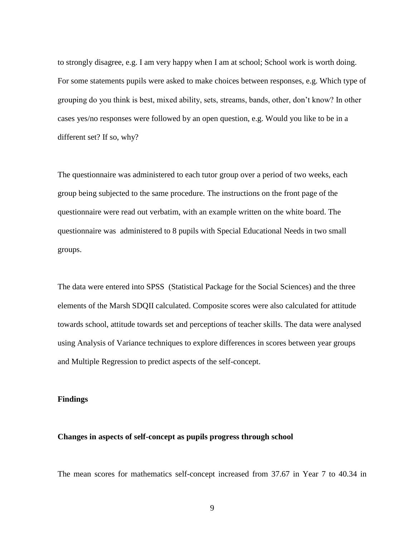to strongly disagree, e.g. I am very happy when I am at school; School work is worth doing. For some statements pupils were asked to make choices between responses, e.g. Which type of grouping do you think is best, mixed ability, sets, streams, bands, other, don't know? In other cases yes/no responses were followed by an open question, e.g. Would you like to be in a different set? If so, why?

The questionnaire was administered to each tutor group over a period of two weeks, each group being subjected to the same procedure. The instructions on the front page of the questionnaire were read out verbatim, with an example written on the white board. The questionnaire was administered to 8 pupils with Special Educational Needs in two small groups.

The data were entered into SPSS (Statistical Package for the Social Sciences) and the three elements of the Marsh SDQII calculated. Composite scores were also calculated for attitude towards school, attitude towards set and perceptions of teacher skills. The data were analysed using Analysis of Variance techniques to explore differences in scores between year groups and Multiple Regression to predict aspects of the self-concept.

#### **Findings**

#### **Changes in aspects of self-concept as pupils progress through school**

The mean scores for mathematics self-concept increased from 37.67 in Year 7 to 40.34 in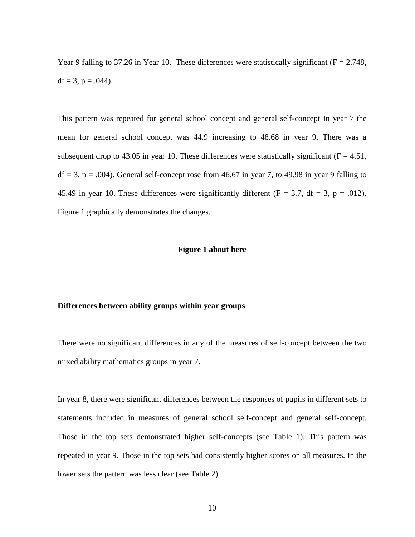Year 9 falling to 37.26 in Year 10. These differences were statistically significant ( $F = 2.748$ , df = 3,  $p = .044$ ).

This pattern was repeated for general school concept and general self-concept In year 7 the mean for general school concept was 44.9 increasing to 48.68 in year 9. There was a subsequent drop to 43.05 in year 10. These differences were statistically significant ( $F = 4.51$ ,  $df = 3$ ,  $p = .004$ ). General self-concept rose from 46.67 in year 7, to 49.98 in year 9 falling to 45.49 in year 10. These differences were significantly different ( $F = 3.7$ , df = 3, p = .012). Figure 1 graphically demonstrates the changes.

#### **Figure 1 about here**

#### **Differences between ability groups within year groups**

There were no significant differences in any of the measures of self-concept between the two mixed ability mathematics groups in year 7**.** 

In year 8, there were significant differences between the responses of pupils in different sets to statements included in measures of general school self-concept and general self-concept. Those in the top sets demonstrated higher self-concepts (see Table 1). This pattern was repeated in year 9. Those in the top sets had consistently higher scores on all measures. In the lower sets the pattern was less clear (see Table 2).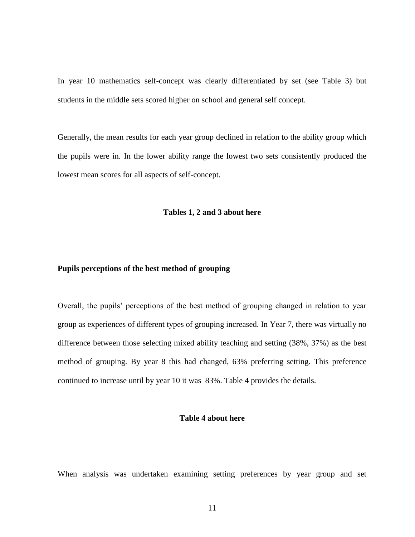In year 10 mathematics self-concept was clearly differentiated by set (see Table 3) but students in the middle sets scored higher on school and general self concept.

Generally, the mean results for each year group declined in relation to the ability group which the pupils were in. In the lower ability range the lowest two sets consistently produced the lowest mean scores for all aspects of self-concept.

#### **Tables 1, 2 and 3 about here**

#### **Pupils perceptions of the best method of grouping**

Overall, the pupils' perceptions of the best method of grouping changed in relation to year group as experiences of different types of grouping increased. In Year 7, there was virtually no difference between those selecting mixed ability teaching and setting (38%, 37%) as the best method of grouping. By year 8 this had changed, 63% preferring setting. This preference continued to increase until by year 10 it was 83%. Table 4 provides the details.

#### **Table 4 about here**

When analysis was undertaken examining setting preferences by year group and set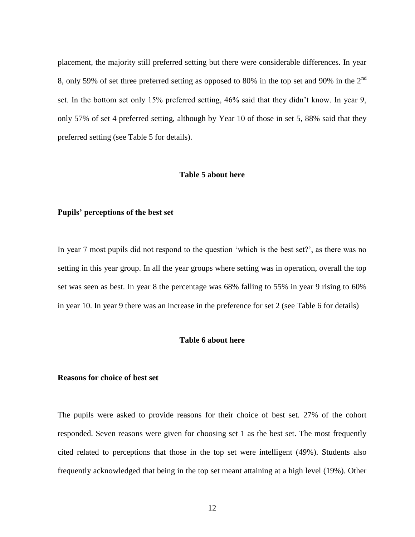placement, the majority still preferred setting but there were considerable differences. In year 8, only 59% of set three preferred setting as opposed to 80% in the top set and 90% in the 2<sup>nd</sup> set. In the bottom set only 15% preferred setting, 46% said that they didn't know. In year 9, only 57% of set 4 preferred setting, although by Year 10 of those in set 5, 88% said that they preferred setting (see Table 5 for details).

#### **Table 5 about here**

#### **Pupils' perceptions of the best set**

In year 7 most pupils did not respond to the question 'which is the best set?', as there was no setting in this year group. In all the year groups where setting was in operation, overall the top set was seen as best. In year 8 the percentage was 68% falling to 55% in year 9 rising to 60% in year 10. In year 9 there was an increase in the preference for set 2 (see Table 6 for details)

#### **Table 6 about here**

#### **Reasons for choice of best set**

The pupils were asked to provide reasons for their choice of best set. 27% of the cohort responded. Seven reasons were given for choosing set 1 as the best set. The most frequently cited related to perceptions that those in the top set were intelligent (49%). Students also frequently acknowledged that being in the top set meant attaining at a high level (19%). Other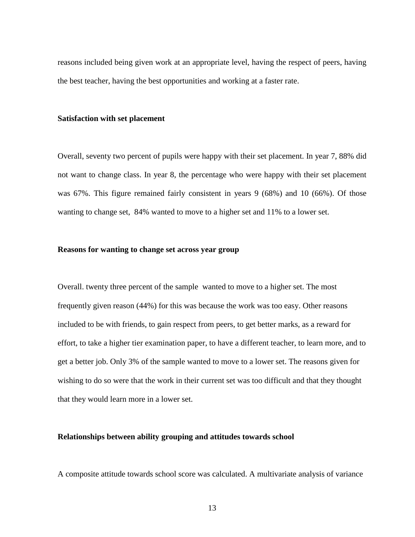reasons included being given work at an appropriate level, having the respect of peers, having the best teacher, having the best opportunities and working at a faster rate.

#### **Satisfaction with set placement**

Overall, seventy two percent of pupils were happy with their set placement. In year 7, 88% did not want to change class. In year 8, the percentage who were happy with their set placement was 67%. This figure remained fairly consistent in years 9 (68%) and 10 (66%). Of those wanting to change set, 84% wanted to move to a higher set and 11% to a lower set.

#### **Reasons for wanting to change set across year group**

Overall. twenty three percent of the sample wanted to move to a higher set. The most frequently given reason (44%) for this was because the work was too easy. Other reasons included to be with friends, to gain respect from peers, to get better marks, as a reward for effort, to take a higher tier examination paper, to have a different teacher, to learn more, and to get a better job. Only 3% of the sample wanted to move to a lower set. The reasons given for wishing to do so were that the work in their current set was too difficult and that they thought that they would learn more in a lower set.

#### **Relationships between ability grouping and attitudes towards school**

A composite attitude towards school score was calculated. A multivariate analysis of variance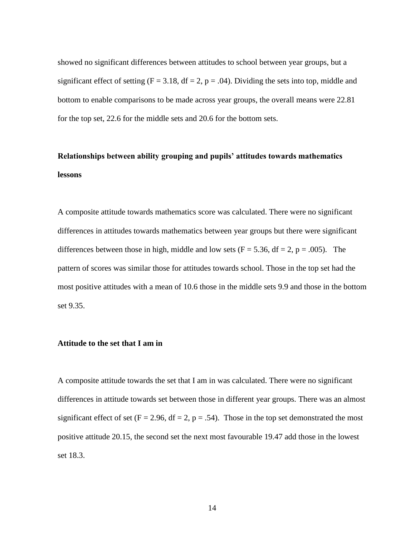showed no significant differences between attitudes to school between year groups, but a significant effect of setting ( $F = 3.18$ ,  $df = 2$ ,  $p = .04$ ). Dividing the sets into top, middle and bottom to enable comparisons to be made across year groups, the overall means were 22.81 for the top set, 22.6 for the middle sets and 20.6 for the bottom sets.

## **Relationships between ability grouping and pupils' attitudes towards mathematics lessons**

A composite attitude towards mathematics score was calculated. There were no significant differences in attitudes towards mathematics between year groups but there were significant differences between those in high, middle and low sets ( $F = 5.36$ , df = 2, p = .005). The pattern of scores was similar those for attitudes towards school. Those in the top set had the most positive attitudes with a mean of 10.6 those in the middle sets 9.9 and those in the bottom set 9.35.

#### **Attitude to the set that I am in**

A composite attitude towards the set that I am in was calculated. There were no significant differences in attitude towards set between those in different year groups. There was an almost significant effect of set ( $F = 2.96$ ,  $df = 2$ ,  $p = .54$ ). Those in the top set demonstrated the most positive attitude 20.15, the second set the next most favourable 19.47 add those in the lowest set 18.3.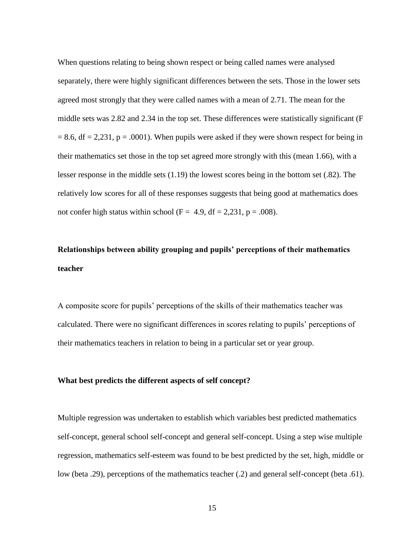When questions relating to being shown respect or being called names were analysed separately, there were highly significant differences between the sets. Those in the lower sets agreed most strongly that they were called names with a mean of 2.71. The mean for the middle sets was 2.82 and 2.34 in the top set. These differences were statistically significant (F  $= 8.6$ , df  $= 2.231$ , p  $= .0001$ ). When pupils were asked if they were shown respect for being in their mathematics set those in the top set agreed more strongly with this (mean 1.66), with a lesser response in the middle sets (1.19) the lowest scores being in the bottom set (.82). The relatively low scores for all of these responses suggests that being good at mathematics does not confer high status within school (F = 4.9, df = 2,231, p = .008).

## **Relationships between ability grouping and pupils' perceptions of their mathematics teacher**

A composite score for pupils' perceptions of the skills of their mathematics teacher was calculated. There were no significant differences in scores relating to pupils' perceptions of their mathematics teachers in relation to being in a particular set or year group.

#### **What best predicts the different aspects of self concept?**

Multiple regression was undertaken to establish which variables best predicted mathematics self-concept, general school self-concept and general self-concept. Using a step wise multiple regression, mathematics self-esteem was found to be best predicted by the set, high, middle or low (beta .29), perceptions of the mathematics teacher (.2) and general self-concept (beta .61).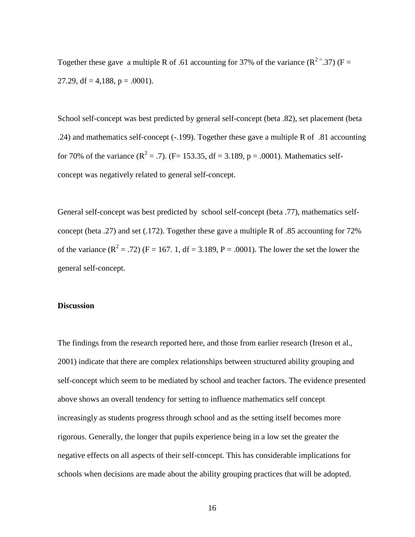Together these gave a multiple R of .61 accounting for 37% of the variance ( $R^{2}$ = 37) (F = 27.29, df = 4,188, p = .0001).

School self-concept was best predicted by general self-concept (beta .82), set placement (beta .24) and mathematics self-concept (-.199). Together these gave a multiple R of .81 accounting for 70% of the variance ( $R^2 = .7$ ). (F= 153.35, df = 3.189, p = .0001). Mathematics selfconcept was negatively related to general self-concept.

General self-concept was best predicted by school self-concept (beta .77), mathematics selfconcept (beta .27) and set (.172). Together these gave a multiple R of .85 accounting for 72% of the variance  $(R^2 = .72)$  (F = 167. 1, df = 3.189, P = .0001). The lower the set the lower the general self-concept.

#### **Discussion**

The findings from the research reported here, and those from earlier research (Ireson et al., 2001) indicate that there are complex relationships between structured ability grouping and self-concept which seem to be mediated by school and teacher factors. The evidence presented above shows an overall tendency for setting to influence mathematics self concept increasingly as students progress through school and as the setting itself becomes more rigorous. Generally, the longer that pupils experience being in a low set the greater the negative effects on all aspects of their self-concept. This has considerable implications for schools when decisions are made about the ability grouping practices that will be adopted.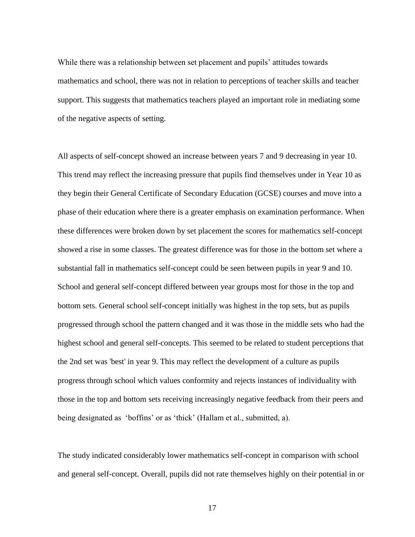While there was a relationship between set placement and pupils' attitudes towards mathematics and school, there was not in relation to perceptions of teacher skills and teacher support. This suggests that mathematics teachers played an important role in mediating some of the negative aspects of setting.

All aspects of self-concept showed an increase between years 7 and 9 decreasing in year 10. This trend may reflect the increasing pressure that pupils find themselves under in Year 10 as they begin their General Certificate of Secondary Education (GCSE) courses and move into a phase of their education where there is a greater emphasis on examination performance. When these differences were broken down by set placement the scores for mathematics self-concept showed a rise in some classes. The greatest difference was for those in the bottom set where a substantial fall in mathematics self-concept could be seen between pupils in year 9 and 10. School and general self-concept differed between year groups most for those in the top and bottom sets. General school self-concept initially was highest in the top sets, but as pupils progressed through school the pattern changed and it was those in the middle sets who had the highest school and general self-concepts. This seemed to be related to student perceptions that the 2nd set was 'best' in year 9. This may reflect the development of a culture as pupils progress through school which values conformity and rejects instances of individuality with those in the top and bottom sets receiving increasingly negative feedback from their peers and being designated as 'boffins' or as 'thick' (Hallam et al., submitted, a).

The study indicated considerably lower mathematics self-concept in comparison with school and general self-concept. Overall, pupils did not rate themselves highly on their potential in or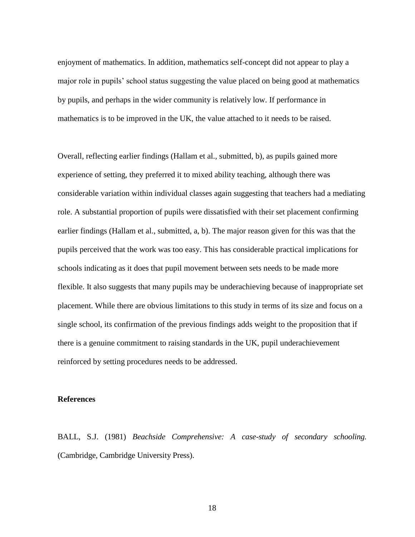enjoyment of mathematics. In addition, mathematics self-concept did not appear to play a major role in pupils' school status suggesting the value placed on being good at mathematics by pupils, and perhaps in the wider community is relatively low. If performance in mathematics is to be improved in the UK, the value attached to it needs to be raised.

Overall, reflecting earlier findings (Hallam et al., submitted, b), as pupils gained more experience of setting, they preferred it to mixed ability teaching, although there was considerable variation within individual classes again suggesting that teachers had a mediating role. A substantial proportion of pupils were dissatisfied with their set placement confirming earlier findings (Hallam et al., submitted, a, b). The major reason given for this was that the pupils perceived that the work was too easy. This has considerable practical implications for schools indicating as it does that pupil movement between sets needs to be made more flexible. It also suggests that many pupils may be underachieving because of inappropriate set placement. While there are obvious limitations to this study in terms of its size and focus on a single school, its confirmation of the previous findings adds weight to the proposition that if there is a genuine commitment to raising standards in the UK, pupil underachievement reinforced by setting procedures needs to be addressed.

#### **References**

BALL, S.J. (1981) *Beachside Comprehensive: A case-study of secondary schooling.* (Cambridge, Cambridge University Press).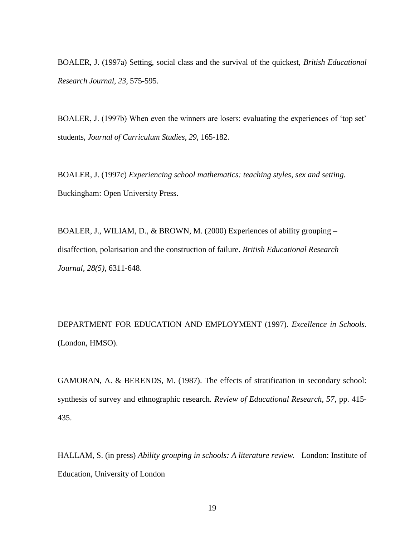BOALER, J. (1997a) Setting, social class and the survival of the quickest, *British Educational Research Journal, 23,* 575-595.

BOALER, J. (1997b) When even the winners are losers: evaluating the experiences of 'top set' students, *Journal of Curriculum Studies, 29,* 165-182.

BOALER, J. (1997c) *Experiencing school mathematics: teaching styles, sex and setting.* Buckingham: Open University Press.

BOALER, J., WILIAM, D., & BROWN, M. (2000) Experiences of ability grouping – disaffection, polarisation and the construction of failure. *British Educational Research Journal, 28(5),* 6311-648.

DEPARTMENT FOR EDUCATION AND EMPLOYMENT (1997). *Excellence in Schools.* (London, HMSO).

GAMORAN, A. & BERENDS, M. (1987). The effects of stratification in secondary school: synthesis of survey and ethnographic research. *Review of Educational Research, 57*, pp. 415- 435.

HALLAM, S. (in press) *Ability grouping in schools: A literature review.* London: Institute of Education, University of London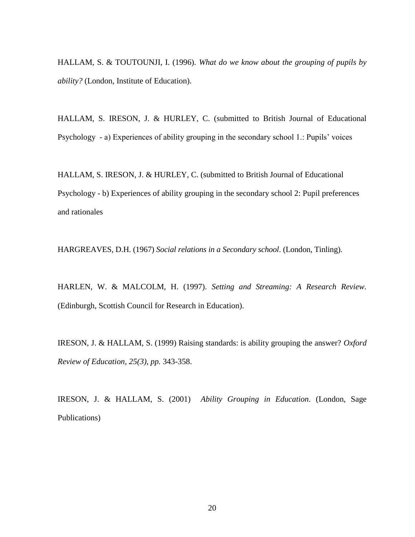HALLAM, S. & TOUTOUNJI, I. (1996). *What do we know about the grouping of pupils by ability?* (London, Institute of Education).

HALLAM, S. IRESON, J. & HURLEY, C. (submitted to British Journal of Educational Psychology - a) Experiences of ability grouping in the secondary school 1.: Pupils' voices

HALLAM, S. IRESON, J. & HURLEY, C. (submitted to British Journal of Educational Psychology - b) Experiences of ability grouping in the secondary school 2: Pupil preferences and rationales

HARGREAVES, D.H. (1967) *Social relations in a Secondary school*. (London, Tinling).

HARLEN, W. & MALCOLM, H. (1997). *Setting and Streaming: A Research Review.* (Edinburgh, Scottish Council for Research in Education).

IRESON, J. & HALLAM, S. (1999) Raising standards: is ability grouping the answer? *Oxford Review of Education, 25(3), pp.* 343-358.

IRESON, J. & HALLAM, S. (2001) *Ability Grouping in Education*. (London, Sage Publications)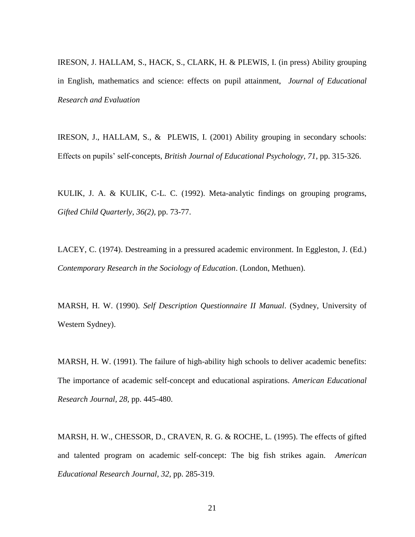IRESON, J. HALLAM, S., HACK, S., CLARK, H. & PLEWIS, I. (in press) Ability grouping in English, mathematics and science: effects on pupil attainment, *Journal of Educational Research and Evaluation*

IRESON, J., HALLAM, S., & PLEWIS, I. (2001) Ability grouping in secondary schools: Effects on pupils' self-concepts, *British Journal of Educational Psychology, 71*, pp. 315-326.

KULIK, J. A. & KULIK, C-L. C. (1992). Meta-analytic findings on grouping programs, *Gifted Child Quarterly, 36(2),* pp. 73-77.

LACEY, C. (1974). Destreaming in a pressured academic environment. In Eggleston, J. (Ed.) *Contemporary Research in the Sociology of Education*. (London, Methuen).

MARSH, H. W. (1990). *Self Description Questionnaire II Manual*. (Sydney, University of Western Sydney).

MARSH, H. W. (1991). The failure of high-ability high schools to deliver academic benefits: The importance of academic self-concept and educational aspirations. *American Educational Research Journal, 28,* pp. 445-480.

MARSH, H. W., CHESSOR, D., CRAVEN, R. G. & ROCHE, L. (1995). The effects of gifted and talented program on academic self-concept: The big fish strikes again. *American Educational Research Journal, 32,* pp. 285-319.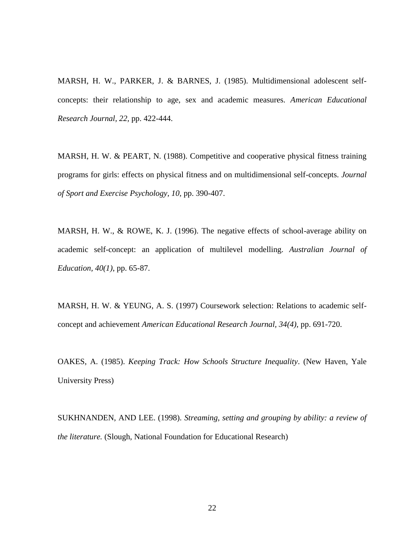MARSH, H. W., PARKER, J. & BARNES, J. (1985). Multidimensional adolescent selfconcepts: their relationship to age, sex and academic measures. *American Educational Research Journal, 22,* pp. 422-444.

MARSH, H. W. & PEART, N. (1988). Competitive and cooperative physical fitness training programs for girls: effects on physical fitness and on multidimensional self-concepts. *Journal of Sport and Exercise Psychology, 10,* pp. 390-407.

MARSH, H. W., & ROWE, K. J. (1996). The negative effects of school-average ability on academic self-concept: an application of multilevel modelling. *Australian Journal of Education, 40(1)*, pp. 65-87.

MARSH, H. W. & YEUNG, A. S. (1997) Coursework selection: Relations to academic selfconcept and achievement *American Educational Research Journal, 34(4),* pp. 691-720.

OAKES, A. (1985). *Keeping Track: How Schools Structure Inequality*. (New Haven, Yale University Press)

SUKHNANDEN, AND LEE. (1998). *Streaming, setting and grouping by ability: a review of the literature.* (Slough, National Foundation for Educational Research)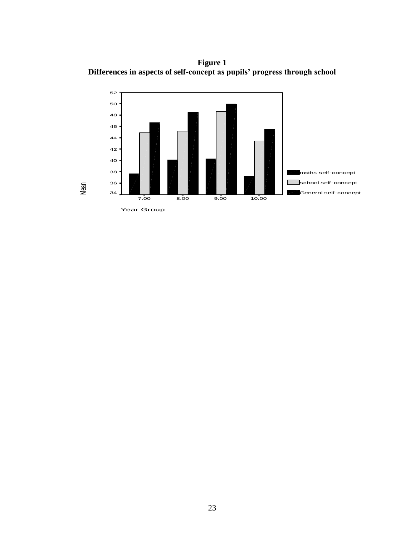**Figure 1 Differences in aspects of self-concept as pupils' progress through school** 

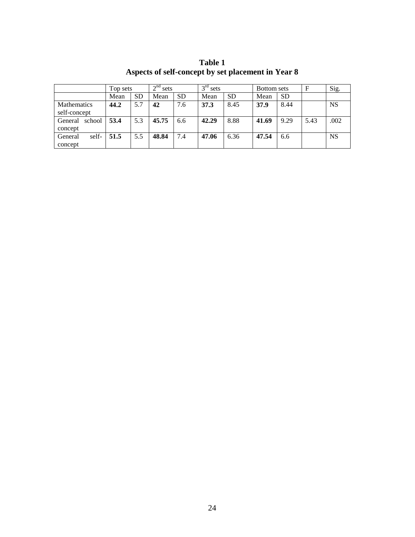|                   | Top sets |           | 2 <sup>nd</sup><br>sets |           | $2^{\text{rd}}$<br>sets |           | Bottom sets |           | $\mathbf F$ | Sig.      |
|-------------------|----------|-----------|-------------------------|-----------|-------------------------|-----------|-------------|-----------|-------------|-----------|
|                   | Mean     | <b>SD</b> | Mean                    | <b>SD</b> | Mean                    | <b>SD</b> | Mean        | <b>SD</b> |             |           |
| Mathematics       | 44.2     | 5.7       | 42                      | 7.6       | 37.3                    | 8.45      | 37.9        | 8.44      |             | <b>NS</b> |
| self-concept      |          |           |                         |           |                         |           |             |           |             |           |
| General<br>school | 53.4     | 5.3       | 45.75                   | 6.6       | 42.29                   | 8.88      | 41.69       | 9.29      | 5.43        | .002      |
| concept           |          |           |                         |           |                         |           |             |           |             |           |
| self-<br>General  | 51.5     | 5.5       | 48.84                   | 7.4       | 47.06                   | 6.36      | 47.54       | 6.6       |             | <b>NS</b> |
| concept           |          |           |                         |           |                         |           |             |           |             |           |

**Table 1 Aspects of self-concept by set placement in Year 8**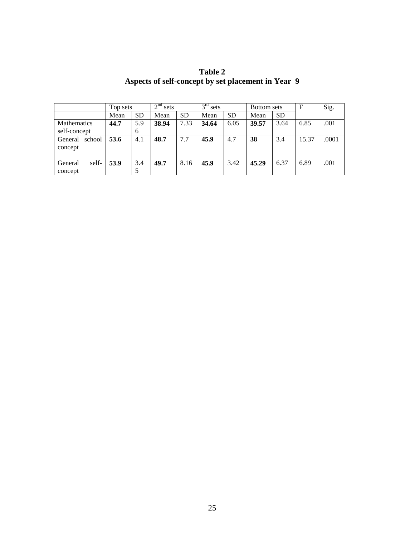|                   | Top sets |           | 2 <sup>nd</sup><br>sets |           | 3 <sup>rd</sup><br>sets |           | Bottom sets |           | $\mathbf F$ | Sig.  |
|-------------------|----------|-----------|-------------------------|-----------|-------------------------|-----------|-------------|-----------|-------------|-------|
|                   | Mean     | <b>SD</b> | Mean                    | <b>SD</b> | Mean                    | <b>SD</b> | Mean        | <b>SD</b> |             |       |
| Mathematics       | 44.7     | 5.9       | 38.94                   | 7.33      | 34.64                   | 6.05      | 39.57       | 3.64      | 6.85        | .001  |
| self-concept      |          | 6         |                         |           |                         |           |             |           |             |       |
| school<br>General | 53.6     | 4.1       | 48.7                    | 7.7       | 45.9                    | 4.7       | 38          | 3.4       | 15.37       | .0001 |
| concept           |          |           |                         |           |                         |           |             |           |             |       |
|                   |          |           |                         |           |                         |           |             |           |             |       |
| self-<br>General  | 53.9     | 3.4       | 49.7                    | 8.16      | 45.9                    | 3.42      | 45.29       | 6.37      | 6.89        | .001  |
| concept           |          |           |                         |           |                         |           |             |           |             |       |

**Table 2 Aspects of self-concept by set placement in Year 9**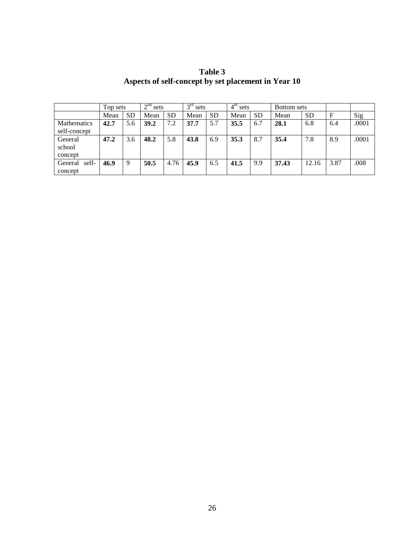|                    | Top sets |           | 2 <sup>nd</sup><br>sets |           | $3^{\text{rd}}$<br>sets |           | $4^{\text{th}}$<br>sets |           | Bottom sets |           |      |       |
|--------------------|----------|-----------|-------------------------|-----------|-------------------------|-----------|-------------------------|-----------|-------------|-----------|------|-------|
|                    | Mean     | <b>SD</b> | Mean                    | <b>SD</b> | Mean                    | <b>SD</b> | Mean                    | <b>SD</b> | Mean        | <b>SD</b> |      | Sig   |
| <b>Mathematics</b> | 42.7     | 5.6       | 39.2                    | 7.2       | 37.7                    | 5.7       | 35.5                    | 6.7       | 28.1        | 6.8       | 6.4  | .0001 |
| self-concept       |          |           |                         |           |                         |           |                         |           |             |           |      |       |
| General            | 47.2     | 3.6       | 48.2                    | 5.8       | 43.8                    | 6.9       | 35.3                    | 8.7       | 35.4        | 7.8       | 8.9  | .0001 |
| school             |          |           |                         |           |                         |           |                         |           |             |           |      |       |
| concept            |          |           |                         |           |                         |           |                         |           |             |           |      |       |
| self-<br>General   | 46.9     | 9         | 50.5                    | 4.76      | 45.9                    | 6.5       | 41.5                    | 9.9       | 37.43       | 12.16     | 3.87 | .008  |
| concept            |          |           |                         |           |                         |           |                         |           |             |           |      |       |

**Table 3 Aspects of self-concept by set placement in Year 10**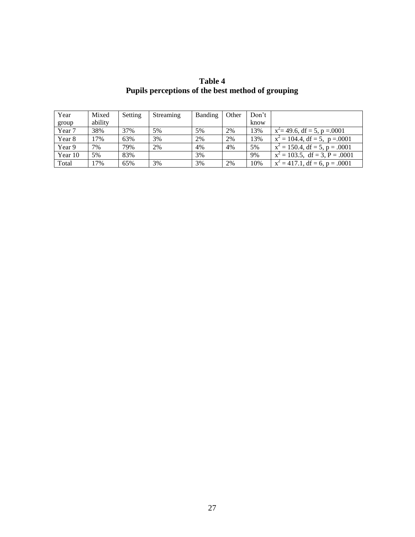**Table 4 Pupils perceptions of the best method of grouping** 

| Year    | Mixed   | Setting | Streaming | Banding | Other | Don't |                                   |
|---------|---------|---------|-----------|---------|-------|-------|-----------------------------------|
| group   | ability |         |           |         |       | know  |                                   |
| Year 7  | 38%     | 37%     | 5%        | 5%      | 2%    | 13%   | $x^2$ = 49.6, df = 5, p = 0001    |
| Year 8  | 17%     | 63%     | 3%        | 2%      | 2%    | 13%   | $x^2 = 104.4$ , df = 5, p = 0001  |
| Year 9  | 7%      | 79%     | 2%        | 4%      | 4%    | 5%    | $x^2 = 150.4$ , df = 5, p = .0001 |
| Year 10 | 5%      | 83%     |           | 3%      |       | 9%    | $x^2 = 103.5$ , df = 3, P = .0001 |
| Total   | 17%     | 65%     | 3%        | 3%      | 2%    | 10%   | $x^2 = 417.1$ , df = 6, p = .0001 |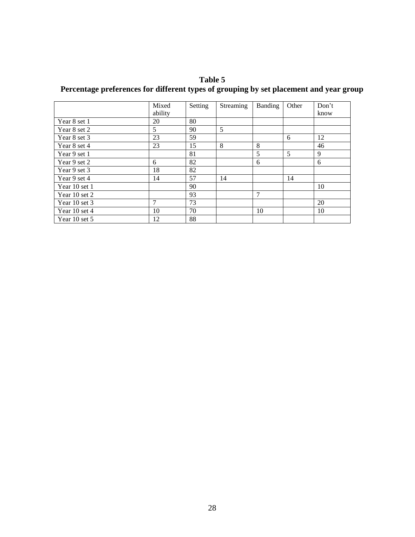**Table 5 Percentage preferences for different types of grouping by set placement and year group**

|               | Mixed<br>ability | Setting | Streaming | <b>Banding</b> | Other | Don't<br>know |
|---------------|------------------|---------|-----------|----------------|-------|---------------|
| Year 8 set 1  | 20               | 80      |           |                |       |               |
| Year 8 set 2  | 5                | 90      | 5         |                |       |               |
| Year 8 set 3  | 23               | 59      |           |                | 6     | 12            |
| Year 8 set 4  | 23               | 15      | 8         | 8              |       | 46            |
| Year 9 set 1  |                  | 81      |           | 5              | 5     | 9             |
| Year 9 set 2  | 6                | 82      |           | 6              |       | 6             |
| Year 9 set 3  | 18               | 82      |           |                |       |               |
| Year 9 set 4  | 14               | 57      | 14        |                | 14    |               |
| Year 10 set 1 |                  | 90      |           |                |       | 10            |
| Year 10 set 2 |                  | 93      |           | 7              |       |               |
| Year 10 set 3 | 7                | 73      |           |                |       | 20            |
| Year 10 set 4 | 10               | 70      |           | 10             |       | 10            |
| Year 10 set 5 | 12               | 88      |           |                |       |               |